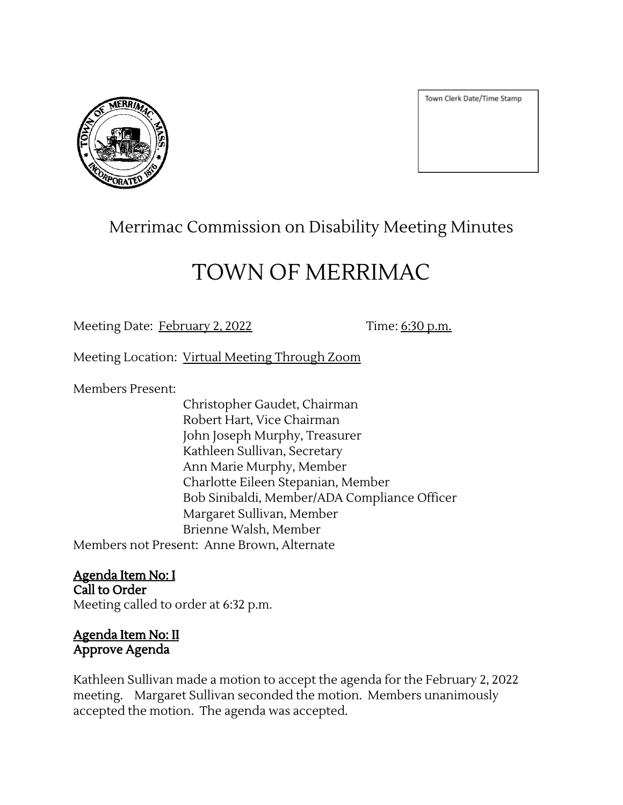

Town Clerk Date/Time Stamp

# Merrimac Commission on Disability Meeting Minutes

# TOWN OF MERRIMAC

Meeting Date: February 2, 2022 Time: 6:30 p.m.

Meeting Location: Virtual Meeting Through Zoom

Members Present:

Christopher Gaudet, Chairman Robert Hart, Vice Chairman John Joseph Murphy, Treasurer Kathleen Sullivan, Secretary Ann Marie Murphy, Member Charlotte Eileen Stepanian, Member Bob Sinibaldi, Member/ADA Compliance Officer Margaret Sullivan, Member Brienne Walsh, Member Members not Present: Anne Brown, Alternate

Agenda Item No: I Call to Order

Meeting called to order at 6:32 p.m.

Agenda Item No: II Approve Agenda

Kathleen Sullivan made a motion to accept the agenda for the February 2, 2022 meeting. Margaret Sullivan seconded the motion. Members unanimously accepted the motion. The agenda was accepted.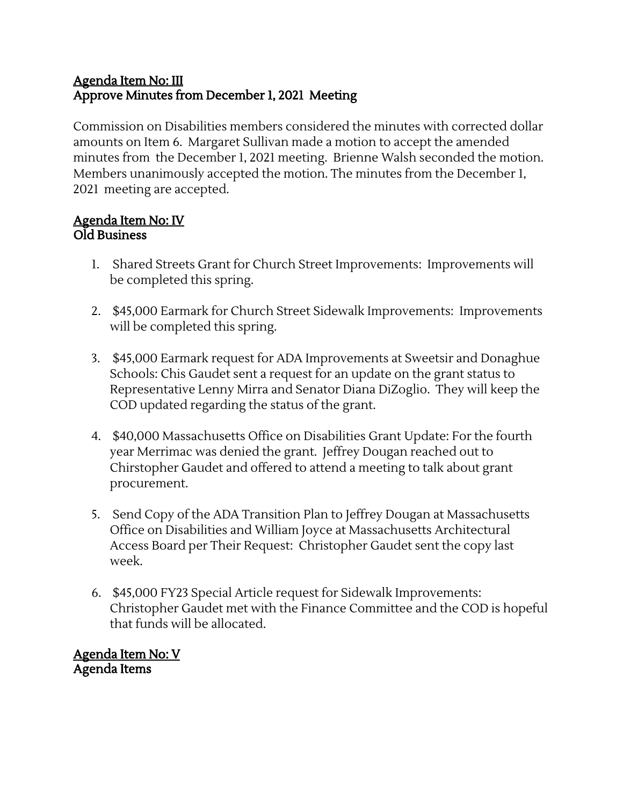## Agenda Item No: III Approve Minutes from December 1, 2021 Meeting

Commission on Disabilities members considered the minutes with corrected dollar amounts on Item 6. Margaret Sullivan made a motion to accept the amended minutes from the December 1, 2021 meeting. Brienne Walsh seconded the motion. Members unanimously accepted the motion. The minutes from the December 1, 2021 meeting are accepted.

#### Agenda Item No: IV Old Business

- 1. Shared Streets Grant for Church Street Improvements: Improvements will be completed this spring.
- 2. \$45,000 Earmark for Church Street Sidewalk Improvements: Improvements will be completed this spring.
- 3. \$45,000 Earmark request for ADA Improvements at Sweetsir and Donaghue Schools: Chis Gaudet sent a request for an update on the grant status to Representative Lenny Mirra and Senator Diana DiZoglio. They will keep the COD updated regarding the status of the grant.
- 4. \$40,000 Massachusetts Office on Disabilities Grant Update: For the fourth year Merrimac was denied the grant. Jeffrey Dougan reached out to Chirstopher Gaudet and offered to attend a meeting to talk about grant procurement.
- 5. Send Copy of the ADA Transition Plan to Jeffrey Dougan at Massachusetts Office on Disabilities and William Joyce at Massachusetts Architectural Access Board per Their Request: Christopher Gaudet sent the copy last week.
- 6. \$45,000 FY23 Special Article request for Sidewalk Improvements: Christopher Gaudet met with the Finance Committee and the COD is hopeful that funds will be allocated.

Agenda Item No: V Agenda Items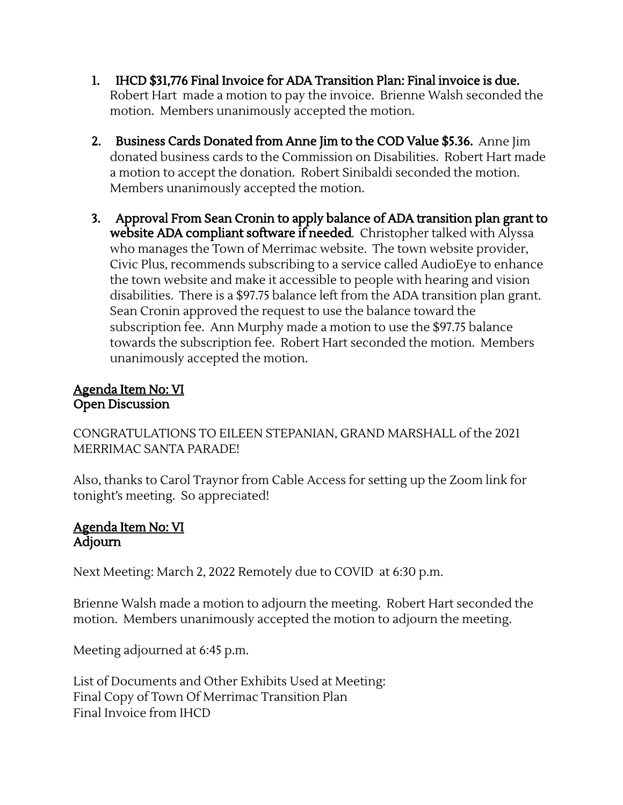- 1. IHCD \$31,776 Final Invoice for ADA Transition Plan: Final invoice is due. Robert Hart made a motion to pay the invoice. Brienne Walsh seconded the motion. Members unanimously accepted the motion.
- 2. Business Cards Donated from Anne Jim to the COD Value \$5.36. Anne Jim donated business cards to the Commission on Disabilities. Robert Hart made a motion to accept the donation. Robert Sinibaldi seconded the motion. Members unanimously accepted the motion.
- 3. Approval From Sean Cronin to apply balance of ADA transition plan grant to website ADA compliant software if needed. Christopher talked with Alyssa who manages the Town of Merrimac website. The town website provider, Civic Plus, recommends subscribing to a service called AudioEye to enhance the town website and make it accessible to people with hearing and vision disabilities. There is a \$97.75 balance left from the ADA transition plan grant. Sean Cronin approved the request to use the balance toward the subscription fee. Ann Murphy made a motion to use the \$97.75 balance towards the subscription fee. Robert Hart seconded the motion. Members unanimously accepted the motion.

## Agenda Item No: VI Open Discussion

CONGRATULATIONS TO EILEEN STEPANIAN, GRAND MARSHALL of the 2021 MERRIMAC SANTA PARADE!

Also, thanks to Carol Traynor from Cable Access for setting up the Zoom link for tonight's meeting. So appreciated!

#### Agenda Item No: VI Adjourn

Next Meeting: March 2, 2022 Remotely due to COVID at 6:30 p.m.

Brienne Walsh made a motion to adjourn the meeting. Robert Hart seconded the motion. Members unanimously accepted the motion to adjourn the meeting.

Meeting adjourned at 6:45 p.m.

List of Documents and Other Exhibits Used at Meeting: Final Copy of Town Of Merrimac Transition Plan Final Invoice from IHCD